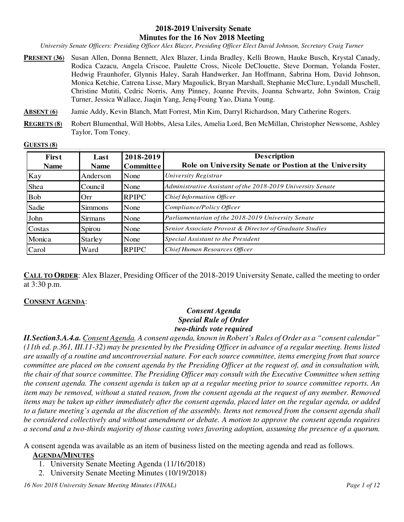### **2018-2019 University Senate Minutes for the 16 Nov 2018 Meeting**

*University Senate Officers: Presiding Officer Alex Blazer, Presiding Officer Elect David Johnson, Secretary Craig Turner* 

- **PRESENT (36)** Susan Allen, Donna Bennett, Alex Blazer, Linda Bradley, Kelli Brown, Hauke Busch, Krystal Canady, Rodica Cazacu, Angela Criscoe, Paulette Cross, Nicole DeClouette, Steve Dorman, Yolanda Foster, Hedwig Fraunhofer, Glynnis Haley, Sarah Handwerker, Jan Hoffmann, Sabrina Hom, David Johnson, Monica Ketchie, Catrena Lisse, Mary Magoulick, Bryan Marshall, Stephanie McClure, Lyndall Muschell, Christine Mutiti, Cedric Norris, Amy Pinney, Joanne Previts, Joanna Schwartz, John Swinton, Craig Turner, Jessica Wallace, Jiaqin Yang, Jenq-Foung Yao, Diana Young.
- **ABSENT (6)** Jamie Addy, Kevin Blanch, Matt Forrest, Min Kim, Darryl Richardson, Mary Catherine Rogers.
- **REGRETS (8)** Robert Blumenthal, Will Hobbs, Alesa Liles, Amelia Lord, Ben McMillan, Christopher Newsome, Ashley Taylor, Tom Toney.

#### **GUESTS (8)**

| <b>First</b><br><b>Name</b> | Last<br>Name   | 2018-2019<br><b>Committee</b> | <b>Description</b><br>Role on University Senate or Postion at the University |
|-----------------------------|----------------|-------------------------------|------------------------------------------------------------------------------|
| Kay                         | Anderson       | None                          | University Registrar                                                         |
| Shea                        | Council        | None                          | Administrative Assistant of the 2018-2019 University Senate                  |
| <b>Bob</b>                  | Orr            | <b>RPIPC</b>                  | Chief Information Officer                                                    |
| Sadie                       | <b>Simmons</b> | None                          | Compliance/Policy Officer                                                    |
| John                        | <b>Sirmans</b> | None                          | Parliamentarian of the 2018-2019 University Senate                           |
| Costas                      | Spirou         | None                          | Senior Associate Provost & Director of Graduate Studies                      |
| Monica                      | <b>Starley</b> | None                          | Special Assistant to the President                                           |
| Carol                       | Ward           | <b>RPIPC</b>                  | Chief Human Resources Officer                                                |

**CALL TO ORDER**: Alex Blazer, Presiding Officer of the 2018-2019 University Senate, called the meeting to order at 3:30 p.m.

### **CONSENT AGENDA**:

### *Consent Agenda Special Rule of Order two-thirds vote required*

*II.Section3.A.4.a. Consent Agenda. A consent agenda, known in Robert's Rules of Order as a "consent calendar" (11th ed. p.361, III.11-32) may be presented by the Presiding Officer in advance of a regular meeting. Items listed are usually of a routine and uncontroversial nature. For each source committee, items emerging from that source committee are placed on the consent agenda by the Presiding Officer at the request of, and in consultation with, the chair of that source committee. The Presiding Officer may consult with the Executive Committee when setting the consent agenda. The consent agenda is taken up at a regular meeting prior to source committee reports. An item may be removed, without a stated reason, from the consent agenda at the request of any member. Removed items may be taken up either immediately after the consent agenda, placed later on the regular agenda, or added to a future meeting's agenda at the discretion of the assembly. Items not removed from the consent agenda shall be considered collectively and without amendment or debate. A motion to approve the consent agenda requires a second and a two-thirds majority of those casting votes favoring adoption, assuming the presence of a quorum.* 

A consent agenda was available as an item of business listed on the meeting agenda and read as follows.

### **AGENDA/MINUTES**

- 1. University Senate Meeting Agenda (11/16/2018)
- 2. University Senate Meeting Minutes (10/19/2018)

*16 Nov 2018 University Senate Meeting Minutes (FINAL) Page 1 of 12*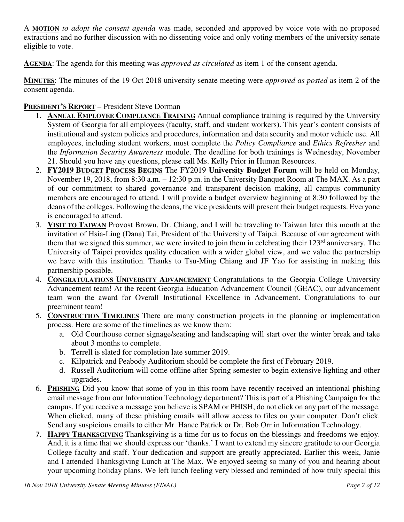A **MOTION** *to adopt the consent agenda* was made, seconded and approved by voice vote with no proposed extractions and no further discussion with no dissenting voice and only voting members of the university senate eligible to vote.

**AGENDA**: The agenda for this meeting was *approved as circulated* as item 1 of the consent agenda.

**MINUTES**: The minutes of the 19 Oct 2018 university senate meeting were *approved as posted* as item 2 of the consent agenda.

## **PRESIDENT'S REPORT** – President Steve Dorman

- 1. **ANNUAL EMPLOYEE COMPLIANCE TRAINING** Annual compliance training is required by the University System of Georgia for all employees (faculty, staff, and student workers). This year's content consists of institutional and system policies and procedures, information and data security and motor vehicle use. All employees, including student workers, must complete the *Policy Compliance* and *Ethics Refresher* and the *Information Security Awareness* module. The deadline for both trainings is Wednesday, November 21. Should you have any questions, please call Ms. Kelly Prior in Human Resources.
- 2. **FY2019 BUDGET PROCESS BEGINS** The FY2019 **University Budget Forum** will be held on Monday, November 19, 2018, from 8:30 a.m. – 12:30 p.m. in the University Banquet Room at The MAX. As a part of our commitment to shared governance and transparent decision making, all campus community members are encouraged to attend. I will provide a budget overview beginning at 8:30 followed by the deans of the colleges. Following the deans, the vice presidents will present their budget requests. Everyone is encouraged to attend.
- 3. **VISIT TO TAIWAN** Provost Brown, Dr. Chiang, and I will be traveling to Taiwan later this month at the invitation of Hsia-Ling (Dana) Tai, President of the University of Taipei. Because of our agreement with them that we signed this summer, we were invited to join them in celebrating their  $123<sup>rd</sup>$  anniversary. The University of Taipei provides quality education with a wider global view, and we value the partnership we have with this institution. Thanks to Tsu-Ming Chiang and JF Yao for assisting in making this partnership possible.
- 4. **CONGRATULATIONS UNIVERSITY ADVANCEMENT** Congratulations to the Georgia College University Advancement team! At the recent Georgia Education Advancement Council (GEAC), our advancement team won the award for Overall Institutional Excellence in Advancement. Congratulations to our preeminent team!
- 5. **CONSTRUCTION TIMELINES** There are many construction projects in the planning or implementation process. Here are some of the timelines as we know them:
	- a. Old Courthouse corner signage/seating and landscaping will start over the winter break and take about 3 months to complete.
	- b. Terrell is slated for completion late summer 2019.
	- c. Kilpatrick and Peabody Auditorium should be complete the first of February 2019.
	- d. Russell Auditorium will come offline after Spring semester to begin extensive lighting and other upgrades.
- 6. **PHISHING** Did you know that some of you in this room have recently received an intentional phishing email message from our Information Technology department? This is part of a Phishing Campaign for the campus. If you receive a message you believe is SPAM or PHISH, do not click on any part of the message. When clicked, many of these phishing emails will allow access to files on your computer. Don't click. Send any suspicious emails to either Mr. Hance Patrick or Dr. Bob Orr in Information Technology.
- 7. **HAPPY THANKSGIVING** Thanksgiving is a time for us to focus on the blessings and freedoms we enjoy. And, it is a time that we should express our 'thanks.' I want to extend my sincere gratitude to our Georgia College faculty and staff. Your dedication and support are greatly appreciated. Earlier this week, Janie and I attended Thanksgiving Lunch at The Max. We enjoyed seeing so many of you and hearing about your upcoming holiday plans. We left lunch feeling very blessed and reminded of how truly special this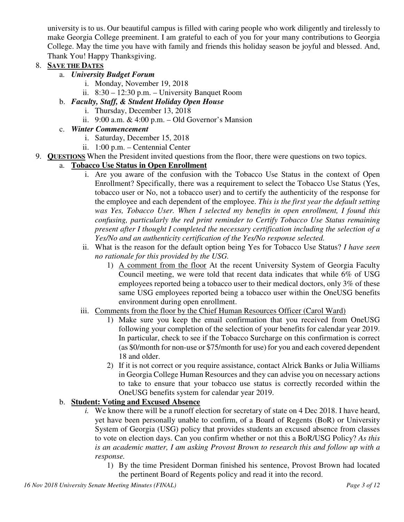university is to us. Our beautiful campus is filled with caring people who work diligently and tirelessly to make Georgia College preeminent. I am grateful to each of you for your many contributions to Georgia College. May the time you have with family and friends this holiday season be joyful and blessed. And, Thank You! Happy Thanksgiving.

## 8. **SAVE THE DATES**

- a. *University Budget Forum*
	- i. Monday, November 19, 2018
	- ii. 8:30 12:30 p.m. University Banquet Room
- b. *Faculty, Staff, & Student Holiday Open House*
	- i. Thursday, December 13, 2018
	- ii.  $9:00$  a.m.  $\& 4:00$  p.m. Old Governor's Mansion
- c. *Winter Commencement*
	- i. Saturday, December 15, 2018
	- ii. 1:00 p.m. Centennial Center
- 9. **QUESTIONS** When the President invited questions from the floor, there were questions on two topics.

## a. **Tobacco Use Status in Open Enrollment**

- i. Are you aware of the confusion with the Tobacco Use Status in the context of Open Enrollment? Specifically, there was a requirement to select the Tobacco Use Status (Yes, tobacco user or No, not a tobacco user) and to certify the authenticity of the response for the employee and each dependent of the employee. *This is the first year the default setting was Yes, Tobacco User. When I selected my benefits in open enrollment, I found this confusing, particularly the red print reminder to Certify Tobacco Use Status remaining present after I thought I completed the necessary certification including the selection of a Yes/No and an authenticity certification of the Yes/No response selected.*
- ii. What is the reason for the default option being Yes for Tobacco Use Status? *I have seen no rationale for this provided by the USG.*
	- 1) A comment from the floor At the recent University System of Georgia Faculty Council meeting, we were told that recent data indicates that while 6% of USG employees reported being a tobacco user to their medical doctors, only 3% of these same USG employees reported being a tobacco user within the OneUSG benefits environment during open enrollment.
- iii. Comments from the floor by the Chief Human Resources Officer (Carol Ward)
	- 1) Make sure you keep the email confirmation that you received from OneUSG following your completion of the selection of your benefits for calendar year 2019. In particular, check to see if the Tobacco Surcharge on this confirmation is correct (as \$0/month for non-use or \$75/month for use) for you and each covered dependent 18 and older.
	- 2) If it is not correct or you require assistance, contact Alrick Banks or Julia Williams in Georgia College Human Resources and they can advise you on necessary actions to take to ensure that your tobacco use status is correctly recorded within the OneUSG benefits system for calendar year 2019.

## b. **Student: Voting and Excused Absence**

- *i.* We know there will be a runoff election for secretary of state on 4 Dec 2018. I have heard, yet have been personally unable to confirm, of a Board of Regents (BoR) or University System of Georgia (USG) policy that provides students an excused absence from classes to vote on election days. Can you confirm whether or not this a BoR/USG Policy? *As this is an academic matter, I am asking Provost Brown to research this and follow up with a response.* 
	- 1) By the time President Dorman finished his sentence, Provost Brown had located the pertinent Board of Regents policy and read it into the record.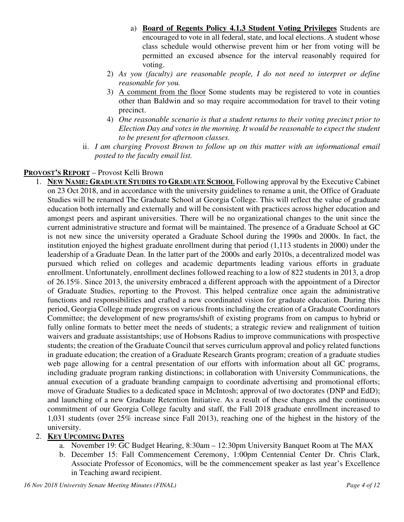- a) **Board of Regents Policy 4.1.3 Student Voting Privileges** Students are encouraged to vote in all federal, state, and local elections. A student whose class schedule would otherwise prevent him or her from voting will be permitted an excused absence for the interval reasonably required for voting.
- 2) *As you (faculty) are reasonable people, I do not need to interpret or define reasonable for you.*
- 3) A comment from the floor Some students may be registered to vote in counties other than Baldwin and so may require accommodation for travel to their voting precinct.
- 4) *One reasonable scenario is that a student returns to their voting precinct prior to Election Day and votes in the morning. It would be reasonable to expect the student to be present for afternoon classes.*
- ii. *I am charging Provost Brown to follow up on this matter with an informational email posted to the faculty email list.*

## **PROVOST'S REPORT** – Provost Kelli Brown

1. **NEW NAME: GRADUATE STUDIES TO GRADUATE SCHOOL** Following approval by the Executive Cabinet on 23 Oct 2018, and in accordance with the university guidelines to rename a unit, the Office of Graduate Studies will be renamed The Graduate School at Georgia College. This will reflect the value of graduate education both internally and externally and will be consistent with practices across higher education and amongst peers and aspirant universities. There will be no organizational changes to the unit since the current administrative structure and format will be maintained. The presence of a Graduate School at GC is not new since the university operated a Graduate School during the 1990s and 2000s. In fact, the institution enjoyed the highest graduate enrollment during that period (1,113 students in 2000) under the leadership of a Graduate Dean. In the latter part of the 2000s and early 2010s, a decentralized model was pursued which relied on colleges and academic departments leading various efforts in graduate enrollment. Unfortunately, enrollment declines followed reaching to a low of 822 students in 2013, a drop of 26.15%. Since 2013, the university embraced a different approach with the appointment of a Director of Graduate Studies, reporting to the Provost. This helped centralize once again the administrative functions and responsibilities and crafted a new coordinated vision for graduate education. During this period, Georgia College made progress on various fronts including the creation of a Graduate Coordinators Committee; the development of new programs/shift of existing programs from on campus to hybrid or fully online formats to better meet the needs of students; a strategic review and realignment of tuition waivers and graduate assistantships; use of Hobsons Radius to improve communications with prospective students; the creation of the Graduate Council that serves curriculum approval and policy related functions in graduate education; the creation of a Graduate Research Grants program; creation of a graduate studies web page allowing for a central presentation of our efforts with information about all GC programs, including graduate program ranking distinctions; in collaboration with University Communications, the annual execution of a graduate branding campaign to coordinate advertising and promotional efforts; move of Graduate Studies to a dedicated space in McIntosh; approval of two doctorates (DNP and EdD); and launching of a new Graduate Retention Initiative. As a result of these changes and the continuous commitment of our Georgia College faculty and staff, the Fall 2018 graduate enrollment increased to 1,031 students (over 25% increase since Fall 2013), reaching one of the highest in the history of the university.

## 2. **KEY UPCOMING DATES**

- a. November 19: GC Budget Hearing, 8:30am 12:30pm University Banquet Room at The MAX
- b. December 15: Fall Commencement Ceremony, 1:00pm Centennial Center Dr. Chris Clark, Associate Professor of Economics, will be the commencement speaker as last year's Excellence in Teaching award recipient.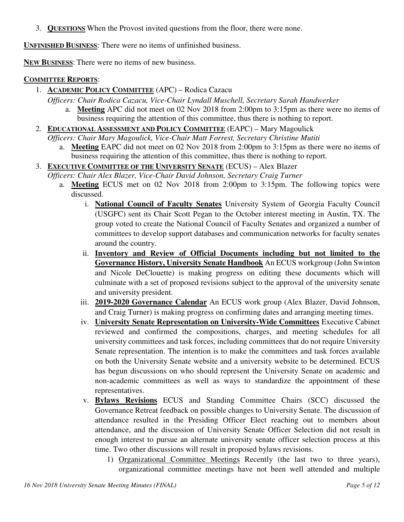3. **QUESTIONS** When the Provost invited questions from the floor, there were none.

**UNFINISHED BUSINESS**: There were no items of unfinished business.

**NEW BUSINESS**: There were no items of new business.

### **COMMITTEE REPORTS**:

1. **ACADEMIC POLICY COMMITTEE** (APC) – Rodica Cazacu

*Officers: Chair Rodica Cazacu, Vice-Chair Lyndall Muschell, Secretary Sarah Handwerker*

- a. **Meeting** APC did not meet on 02 Nov 2018 from 2:00pm to 3:15pm as there were no items of business requiring the attention of this committee, thus there is nothing to report.
- 2. **EDUCATIONAL ASSESSMENT AND POLICY COMMITTEE** (EAPC) Mary Magoulick

*Officers: Chair Mary Magoulick, Vice-Chair Matt Forrest, Secretary Christine Mutiti* 

a. **Meeting** EAPC did not meet on 02 Nov 2018 from 2:00pm to 3:15pm as there were no items of business requiring the attention of this committee, thus there is nothing to report.

## 3. **EXECUTIVE COMMITTEE OF THE UNIVERSITY SENATE** (ECUS) – Alex Blazer

- *Officers: Chair Alex Blazer, Vice-Chair David Johnson, Secretary Craig Turner*
	- a. **Meeting** ECUS met on 02 Nov 2018 from 2:00pm to 3:15pm. The following topics were discussed.
		- i. **National Council of Faculty Senates** University System of Georgia Faculty Council (USGFC) sent its Chair Scott Pegan to the October interest meeting in Austin, TX. The group voted to create the National Council of Faculty Senates and organized a number of committees to develop support databases and communication networks for faculty senates around the country.
		- ii. **Inventory and Review of Official Documents including but not limited to the Governance History, University Senate Handbook** An ECUS workgroup (John Swinton and Nicole DeClouette) is making progress on editing these documents which will culminate with a set of proposed revisions subject to the approval of the university senate and university president.
		- iii. **2019-2020 Governance Calendar** An ECUS work group (Alex Blazer, David Johnson, and Craig Turner) is making progress on confirming dates and arranging meeting times.
		- iv. **University Senate Representation on University-Wide Committees** Executive Cabinet reviewed and confirmed the compositions, charges, and meeting schedules for all university committees and task forces, including committees that do not require University Senate representation. The intention is to make the committees and task forces available on both the University Senate website and a university website to be determined. ECUS has begun discussions on who should represent the University Senate on academic and non-academic committees as well as ways to standardize the appointment of these representatives.
		- v. **Bylaws Revisions** ECUS and Standing Committee Chairs (SCC) discussed the Governance Retreat feedback on possible changes to University Senate. The discussion of attendance resulted in the Presiding Officer Elect reaching out to members about attendance, and the discussion of University Senate Officer Selection did not result in enough interest to pursue an alternate university senate officer selection process at this time. Two other discussions will result in proposed bylaws revisions.
			- 1) Organizational Committee Meetings Recently (the last two to three years), organizational committee meetings have not been well attended and multiple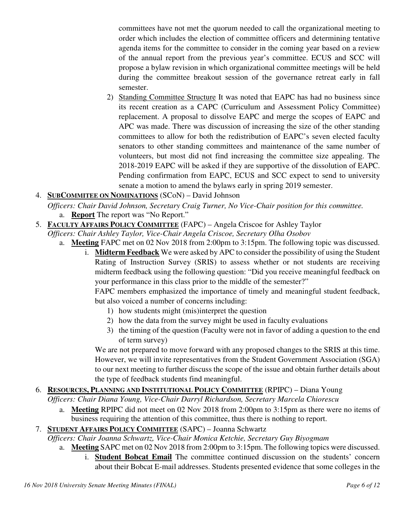committees have not met the quorum needed to call the organizational meeting to order which includes the election of committee officers and determining tentative agenda items for the committee to consider in the coming year based on a review of the annual report from the previous year's committee. ECUS and SCC will propose a bylaw revision in which organizational committee meetings will be held during the committee breakout session of the governance retreat early in fall semester.

- 2) Standing Committee Structure It was noted that EAPC has had no business since its recent creation as a CAPC (Curriculum and Assessment Policy Committee) replacement. A proposal to dissolve EAPC and merge the scopes of EAPC and APC was made. There was discussion of increasing the size of the other standing committees to allow for both the redistribution of EAPC's seven elected faculty senators to other standing committees and maintenance of the same number of volunteers, but most did not find increasing the committee size appealing. The 2018-2019 EAPC will be asked if they are supportive of the dissolution of EAPC. Pending confirmation from EAPC, ECUS and SCC expect to send to university senate a motion to amend the bylaws early in spring 2019 semester.
- 4. **SUBCOMMITEE ON NOMINATIONS** (SCoN) David Johnson
	- *Officers: Chair David Johnson, Secretary Craig Turner, No Vice-Chair position for this committee.* a. **Report** The report was "No Report."
- 5. **FACULTY AFFAIRS POLICY COMMITTEE** (FAPC) Angela Criscoe for Ashley Taylor

*Officers: Chair Ashley Taylor, Vice-Chair Angela Criscoe, Secretary Olha Osobov*

- a. **Meeting** FAPC met on 02 Nov 2018 from 2:00pm to 3:15pm. The following topic was discussed.
	- i. **Midterm Feedback** We were asked by APC to consider the possibility of using the Student Rating of Instruction Survey (SRIS) to assess whether or not students are receiving midterm feedback using the following question: "Did you receive meaningful feedback on your performance in this class prior to the middle of the semester?"

FAPC members emphasized the importance of timely and meaningful student feedback, but also voiced a number of concerns including:

- 1) how students might (mis)interpret the question
- 2) how the data from the survey might be used in faculty evaluations
- 3) the timing of the question (Faculty were not in favor of adding a question to the end of term survey)

We are not prepared to move forward with any proposed changes to the SRIS at this time. However, we will invite representatives from the Student Government Association (SGA) to our next meeting to further discuss the scope of the issue and obtain further details about the type of feedback students find meaningful.

# 6. **RESOURCES, PLANNING AND INSTITUTIONAL POLICY COMMITTEE** (RPIPC) – Diana Young

*Officers: Chair Diana Young, Vice-Chair Darryl Richardson, Secretary Marcela Chiorescu* 

a. **Meeting** RPIPC did not meet on 02 Nov 2018 from 2:00pm to 3:15pm as there were no items of business requiring the attention of this committee, thus there is nothing to report.

## 7. **STUDENT AFFAIRS POLICY COMMITTEE** (SAPC) – Joanna Schwartz

*Officers: Chair Joanna Schwartz, Vice-Chair Monica Ketchie, Secretary Guy Biyogmam*

a. **Meeting** SAPC met on 02 Nov 2018 from 2:00pm to 3:15pm. The following topics were discussed.

i. **Student Bobcat Email** The committee continued discussion on the students' concern about their Bobcat E-mail addresses. Students presented evidence that some colleges in the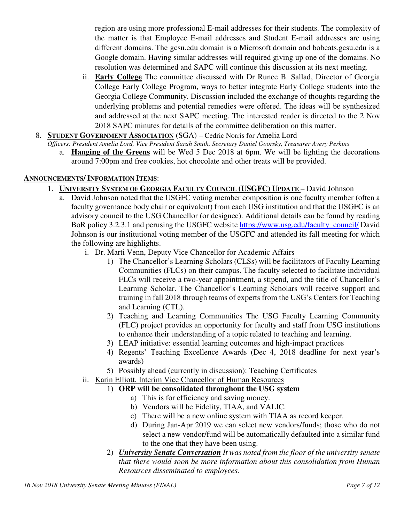region are using more professional E-mail addresses for their students. The complexity of the matter is that Employee E-mail addresses and Student E-mail addresses are using different domains. The gcsu.edu domain is a Microsoft domain and bobcats.gcsu.edu is a Google domain. Having similar addresses will required giving up one of the domains. No resolution was determined and SAPC will continue this discussion at its next meeting.

- ii. **Early College** The committee discussed with Dr Runee B. Sallad, Director of Georgia College Early College Program, ways to better integrate Early College students into the Georgia College Community. Discussion included the exchange of thoughts regarding the underlying problems and potential remedies were offered. The ideas will be synthesized and addressed at the next SAPC meeting. The interested reader is directed to the 2 Nov 2018 SAPC minutes for details of the committee deliberation on this matter.
- 8. **STUDENT GOVERNMENT ASSOCIATION** (SGA) Cedric Norris for Amelia Lord

*Officers: President Amelia Lord, Vice President Sarah Smith, Secretary Daniel Goorsky, Treasurer Avery Perkins* 

a. **Hanging of the Greens** will be Wed 5 Dec 2018 at 6pm. We will be lighting the decorations around 7:00pm and free cookies, hot chocolate and other treats will be provided.

### **ANNOUNCEMENTS/ INFORMATION ITEMS**:

- 1. **UNIVERSITY SYSTEM OF GEORGIA FACULTY COUNCIL (USGFC) UPDATE**  David Johnson
	- a. David Johnson noted that the USGFC voting member composition is one faculty member (often a faculty governance body chair or equivalent) from each USG institution and that the USGFC is an advisory council to the USG Chancellor (or designee). Additional details can be found by reading BoR policy 3.2.3.1 and perusing the USGFC website https://www.usg.edu/faculty\_council/ David Johnson is our institutional voting member of the USGFC and attended its fall meeting for which the following are highlights.
		- i. Dr. Marti Venn, Deputy Vice Chancellor for Academic Affairs
			- 1) The Chancellor's Learning Scholars (CLSs) will be facilitators of Faculty Learning Communities (FLCs) on their campus. The faculty selected to facilitate individual FLCs will receive a two-year appointment, a stipend, and the title of Chancellor's Learning Scholar. The Chancellor's Learning Scholars will receive support and training in fall 2018 through teams of experts from the USG's Centers for Teaching and Learning (CTL).
			- 2) Teaching and Learning Communities The USG Faculty Learning Community (FLC) project provides an opportunity for faculty and staff from USG institutions to enhance their understanding of a topic related to teaching and learning.
			- 3) LEAP initiative: essential learning outcomes and high-impact practices
			- 4) Regents' Teaching Excellence Awards (Dec 4, 2018 deadline for next year's awards)
			- 5) Possibly ahead (currently in discussion): Teaching Certificates
		- ii. Karin Elliott, Interim Vice Chancellor of Human Resources
			- 1) **ORP will be consolidated throughout the USG system**
				- a) This is for efficiency and saving money.
				- b) Vendors will be Fidelity, TIAA, and VALIC.
				- c) There will be a new online system with TIAA as record keeper.
				- d) During Jan-Apr 2019 we can select new vendors/funds; those who do not select a new vendor/fund will be automatically defaulted into a similar fund to the one that they have been using.
			- 2) *University Senate Conversation It was noted from the floor of the university senate that there would soon be more information about this consolidation from Human Resources disseminated to employees.*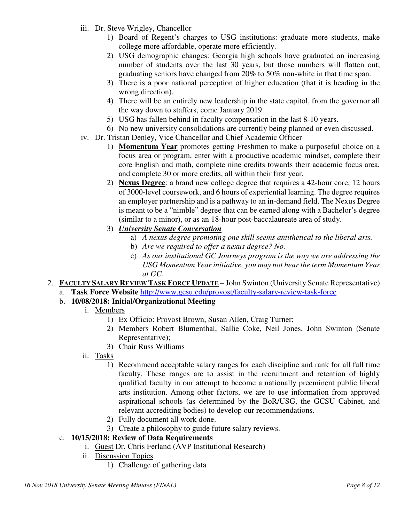- iii. Dr. Steve Wrigley, Chancellor
	- 1) Board of Regent's charges to USG institutions: graduate more students, make college more affordable, operate more efficiently.
	- 2) USG demographic changes: Georgia high schools have graduated an increasing number of students over the last 30 years, but those numbers will flatten out; graduating seniors have changed from 20% to 50% non-white in that time span.
	- 3) There is a poor national perception of higher education (that it is heading in the wrong direction).
	- 4) There will be an entirely new leadership in the state capitol, from the governor all the way down to staffers, come January 2019.
	- 5) USG has fallen behind in faculty compensation in the last 8-10 years.
	- 6) No new university consolidations are currently being planned or even discussed.
- iv. Dr. Tristan Denley, Vice Chancellor and Chief Academic Officer
	- 1) **Momentum Year** promotes getting Freshmen to make a purposeful choice on a focus area or program, enter with a productive academic mindset, complete their core English and math, complete nine credits towards their academic focus area, and complete 30 or more credits, all within their first year.
	- 2) **Nexus Degree**: a brand new college degree that requires a 42-hour core, 12 hours of 3000-level coursework, and 6 hours of experiential learning. The degree requires an employer partnership and is a pathway to an in-demand field. The Nexus Degree is meant to be a "nimble" degree that can be earned along with a Bachelor's degree (similar to a minor), or as an 18-hour post-baccalaureate area of study.
	- 3) *University Senate Conversation*
		- a) *A nexus degree promoting one skill seems antithetical to the liberal arts.*
		- b) *Are we required to offer a nexus degree? No.*
		- c) *As our institutional GC Journeys program is the way we are addressing the USG Momentum Year initiative, you may not hear the term Momentum Year at GC.*
- 2. **FACULTY SALARY REVIEW TASK FORCE UPDATE** John Swinton (University Senate Representative)
	- a. **Task Force Website** http://www.gcsu.edu/provost/faculty-salary-review-task-force
	- b. **10/08/2018: Initial/Organizational Meeting**
		- i. Members
			- 1) Ex Officio: Provost Brown, Susan Allen, Craig Turner;
			- 2) Members Robert Blumenthal, Sallie Coke, Neil Jones, John Swinton (Senate Representative);
			- 3) Chair Russ Williams
		- ii. Tasks
			- 1) Recommend acceptable salary ranges for each discipline and rank for all full time faculty. These ranges are to assist in the recruitment and retention of highly qualified faculty in our attempt to become a nationally preeminent public liberal arts institution. Among other factors, we are to use information from approved aspirational schools (as determined by the BoR/USG, the GCSU Cabinet, and relevant accrediting bodies) to develop our recommendations.
			- 2) Fully document all work done.
			- 3) Create a philosophy to guide future salary reviews.

## c. **10/15/2018: Review of Data Requirements**

- i. Guest Dr. Chris Ferland (AVP Institutional Research)
- ii. Discussion Topics
	- 1) Challenge of gathering data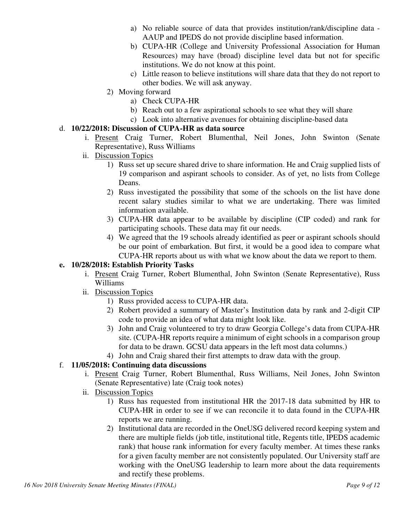- a) No reliable source of data that provides institution/rank/discipline data AAUP and IPEDS do not provide discipline based information.
- b) CUPA-HR (College and University Professional Association for Human Resources) may have (broad) discipline level data but not for specific institutions. We do not know at this point.
- c) Little reason to believe institutions will share data that they do not report to other bodies. We will ask anyway.
- 2) Moving forward
	- a) Check CUPA-HR
	- b) Reach out to a few aspirational schools to see what they will share
	- c) Look into alternative avenues for obtaining discipline-based data

## d. **10/22/2018: Discussion of CUPA-HR as data source**

- i. Present Craig Turner, Robert Blumenthal, Neil Jones, John Swinton (Senate Representative), Russ Williams
- ii. Discussion Topics
	- 1) Russ set up secure shared drive to share information. He and Craig supplied lists of 19 comparison and aspirant schools to consider. As of yet, no lists from College Deans.
	- 2) Russ investigated the possibility that some of the schools on the list have done recent salary studies similar to what we are undertaking. There was limited information available.
	- 3) CUPA-HR data appear to be available by discipline (CIP coded) and rank for participating schools. These data may fit our needs.
	- 4) We agreed that the 19 schools already identified as peer or aspirant schools should be our point of embarkation. But first, it would be a good idea to compare what CUPA-HR reports about us with what we know about the data we report to them.

## **e. 10/28/2018: Establish Priority Tasks**

- i. Present Craig Turner, Robert Blumenthal, John Swinton (Senate Representative), Russ Williams
- ii. Discussion Topics
	- 1) Russ provided access to CUPA-HR data.
	- 2) Robert provided a summary of Master's Institution data by rank and 2-digit CIP code to provide an idea of what data might look like.
	- 3) John and Craig volunteered to try to draw Georgia College's data from CUPA-HR site. (CUPA-HR reports require a minimum of eight schools in a comparison group for data to be drawn. GCSU data appears in the left most data columns.)
	- 4) John and Craig shared their first attempts to draw data with the group.

## f. **11/05/2018: Continuing data discussions**

- i. Present Craig Turner, Robert Blumenthal, Russ Williams, Neil Jones, John Swinton (Senate Representative) late (Craig took notes)
- ii. Discussion Topics
	- 1) Russ has requested from institutional HR the 2017-18 data submitted by HR to CUPA-HR in order to see if we can reconcile it to data found in the CUPA-HR reports we are running.
	- 2) Institutional data are recorded in the OneUSG delivered record keeping system and there are multiple fields (job title, institutional title, Regents title, IPEDS academic rank) that house rank information for every faculty member. At times these ranks for a given faculty member are not consistently populated. Our University staff are working with the OneUSG leadership to learn more about the data requirements and rectify these problems.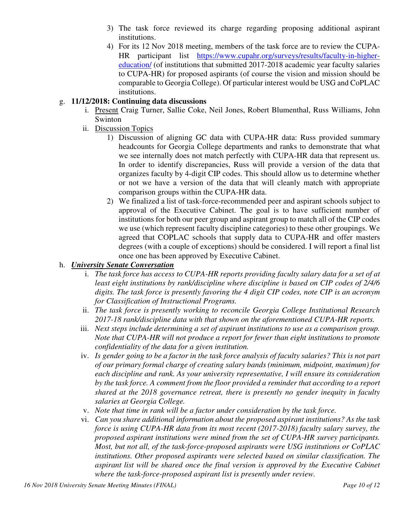- 3) The task force reviewed its charge regarding proposing additional aspirant institutions.
- 4) For its 12 Nov 2018 meeting, members of the task force are to review the CUPA-HR participant list https://www.cupahr.org/surveys/results/faculty-in-highereducation/ (of institutions that submitted 2017-2018 academic year faculty salaries to CUPA-HR) for proposed aspirants (of course the vision and mission should be comparable to Georgia College). Of particular interest would be USG and CoPLAC institutions.

### g. **11/12/2018: Continuing data discussions**

- i. Present Craig Turner, Sallie Coke, Neil Jones, Robert Blumenthal, Russ Williams, John Swinton
- ii. Discussion Topics
	- 1) Discussion of aligning GC data with CUPA-HR data: Russ provided summary headcounts for Georgia College departments and ranks to demonstrate that what we see internally does not match perfectly with CUPA-HR data that represent us. In order to identify discrepancies, Russ will provide a version of the data that organizes faculty by 4-digit CIP codes. This should allow us to determine whether or not we have a version of the data that will cleanly match with appropriate comparison groups within the CUPA-HR data.
	- 2) We finalized a list of task-force-recommended peer and aspirant schools subject to approval of the Executive Cabinet. The goal is to have sufficient number of institutions for both our peer group and aspirant group to match all of the CIP codes we use (which represent faculty discipline categories) to these other groupings. We agreed that COPLAC schools that supply data to CUPA-HR and offer masters degrees (with a couple of exceptions) should be considered. I will report a final list once one has been approved by Executive Cabinet.

### h. *University Senate Conversation*

- i. *The task force has access to CUPA-HR reports providing faculty salary data for a set of at least eight institutions by rank/discipline where discipline is based on CIP codes of 2/4/6 digits. The task force is presently favoring the 4 digit CIP codes, note CIP is an acronym for Classification of Instructional Programs.*
- ii. *The task force is presently working to reconcile Georgia College Institutional Research 2017-18 rank/discipline data with that shown on the aforementioned CUPA-HR reports.*
- iii. *Next steps include determining a set of aspirant institutions to use as a comparison group. Note that CUPA-HR will not produce a report for fewer than eight institutions to promote confidentiality of the data for a given institution.*
- iv. *Is gender going to be a factor in the task force analysis of faculty salaries? This is not part of our primary formal charge of creating salary bands (minimum, midpoint, maximum) for each discipline and rank. As your university representative, I will ensure its consideration by the task force. A comment from the floor provided a reminder that according to a report shared at the 2018 governance retreat, there is presently no gender inequity in faculty salaries at Georgia College.*
- v. *Note that time in rank will be a factor under consideration by the task force.*
- vi. *Can you share additional information about the proposed aspirant institutions? As the task force is using CUPA-HR data from its most recent (2017-2018) faculty salary survey, the proposed aspirant institutions were mined from the set of CUPA-HR survey participants. Most, but not all, of the task-force-proposed aspirants were USG institutions or CoPLAC institutions. Other proposed aspirants were selected based on similar classification. The aspirant list will be shared once the final version is approved by the Executive Cabinet where the task-force-proposed aspirant list is presently under review.*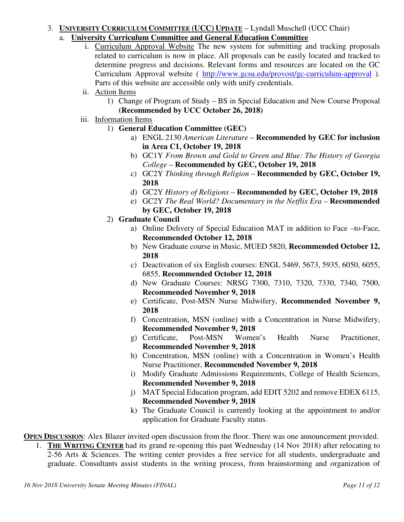### 3. **UNIVERSITY CURRICULUM COMMITTEE (UCC) UPDATE** – Lyndall Muschell (UCC Chair)

- a. **University Curriculum Committee and General Education Committee**
	- i. Curriculum Approval Website The new system for submitting and tracking proposals related to curriculum is now in place. All proposals can be easily located and tracked to determine progress and decisions. Relevant forms and resources are located on the GC Curriculum Approval website ( http://www.gcsu.edu/provost/gc-curriculum-approval ). Parts of this website are accessible only with unify credentials.
	- ii. Action Items
		- 1) Change of Program of Study BS in Special Education and New Course Proposal **(Recommended by UCC October 26, 2018)**
	- iii. Information Items
		- 1) **General Education Committee (GEC)**
			- a) ENGL 2130 *American Literature* **Recommended by GEC for inclusion in Area C1, October 19, 2018**
			- b) GC1Y *From Brown and Gold to Green and Blue: The History of Georgia College* – **Recommended by GEC, October 19, 2018**
			- c) GC2Y *Thinking through Religion* **Recommended by GEC, October 19, 2018**
			- d) GC2Y *History of Religions* **Recommended by GEC, October 19, 2018**
			- e) GC2Y *The Real World? Documentary in the Netflix Era*  **Recommended by GEC, October 19, 2018**
		- 2) **Graduate Council**
			- a) Online Delivery of Special Education MAT in addition to Face –to-Face, **Recommended October 12, 2018**
			- b) New Graduate course in Music, MUED 5820, **Recommended October 12, 2018**
			- c) Deactivation of six English courses: ENGL 5469, 5673, 5935, 6050, 6055, 6855, **Recommended October 12, 2018**
			- d) New Graduate Courses: NRSG 7300, 7310, 7320, 7330, 7340, 7500, **Recommended November 9, 2018**
			- e) Certificate, Post-MSN Nurse Midwifery, **Recommended November 9, 2018**
			- f) Concentration, MSN (online) with a Concentration in Nurse Midwifery, **Recommended November 9, 2018**
			- g) Certificate, Post-MSN Women's Health Nurse Practitioner, **Recommended November 9, 2018**
			- h) Concentration, MSN (online) with a Concentration in Women's Health Nurse Practitioner, **Recommended November 9, 2018**
			- i) Modify Graduate Admissions Requirements, College of Health Sciences, **Recommended November 9, 2018**
			- j) MAT Special Education program, add EDIT 5202 and remove EDEX 6115, **Recommended November 9, 2018**
			- k) The Graduate Council is currently looking at the appointment to and/or application for Graduate Faculty status.

**OPEN DISCUSSION:** Alex Blazer invited open discussion from the floor. There was one announcement provided.

1. **THE WRITING CENTER** had its grand re-opening this past Wednesday (14 Nov 2018) after relocating to 2-56 Arts & Sciences. The writing center provides a free service for all students, undergraduate and graduate. Consultants assist students in the writing process, from brainstorming and organization of